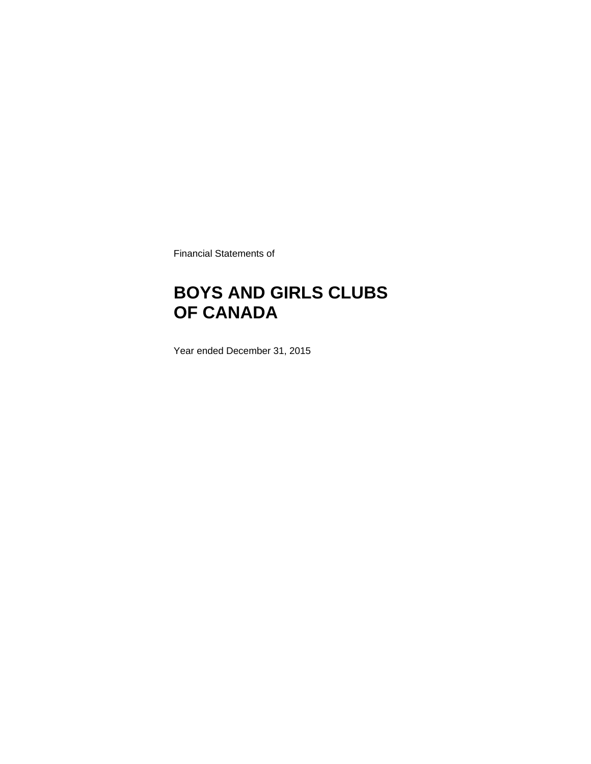Financial Statements of

### **BOYS AND GIRLS CLUBS OF CANADA**

Year ended December 31, 2015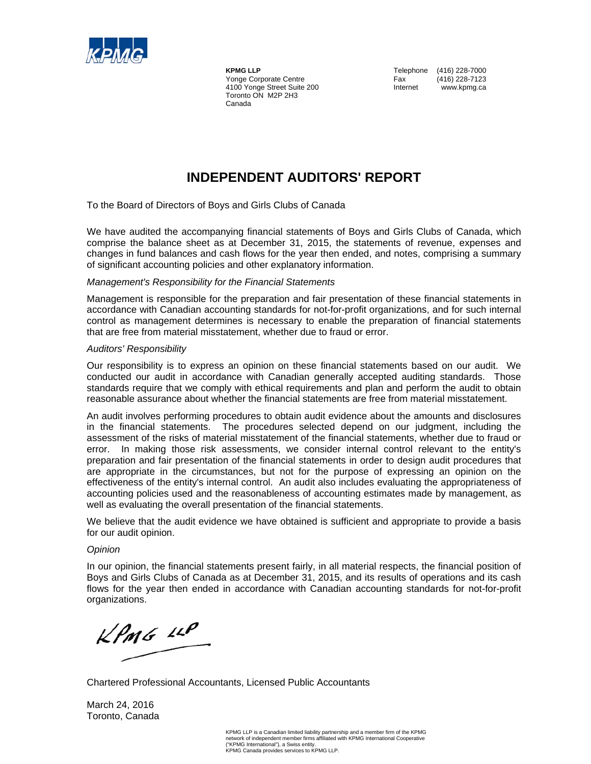

**KPMG LLP**<br>
Yonge Corporate Centre<br>
Yonge Corporate Centre<br>
Tax (416) 228-7123 Yonge Corporate Centre Fax Fax<br>4100 Yonge Street Suite 200 4100 Yonge Street Suite 200 Internet www.kpmg.ca Toronto ON M2P 2H3 Canada

### **INDEPENDENT AUDITORS' REPORT**

To the Board of Directors of Boys and Girls Clubs of Canada

We have audited the accompanying financial statements of Boys and Girls Clubs of Canada, which comprise the balance sheet as at December 31, 2015, the statements of revenue, expenses and changes in fund balances and cash flows for the year then ended, and notes, comprising a summary of significant accounting policies and other explanatory information.

#### *Management's Responsibility for the Financial Statements*

Management is responsible for the preparation and fair presentation of these financial statements in accordance with Canadian accounting standards for not-for-profit organizations, and for such internal control as management determines is necessary to enable the preparation of financial statements that are free from material misstatement, whether due to fraud or error.

#### *Auditors' Responsibility*

Our responsibility is to express an opinion on these financial statements based on our audit. We conducted our audit in accordance with Canadian generally accepted auditing standards. Those standards require that we comply with ethical requirements and plan and perform the audit to obtain reasonable assurance about whether the financial statements are free from material misstatement.

An audit involves performing procedures to obtain audit evidence about the amounts and disclosures in the financial statements. The procedures selected depend on our judgment, including the assessment of the risks of material misstatement of the financial statements, whether due to fraud or error. In making those risk assessments, we consider internal control relevant to the entity's preparation and fair presentation of the financial statements in order to design audit procedures that are appropriate in the circumstances, but not for the purpose of expressing an opinion on the effectiveness of the entity's internal control. An audit also includes evaluating the appropriateness of accounting policies used and the reasonableness of accounting estimates made by management, as well as evaluating the overall presentation of the financial statements.

We believe that the audit evidence we have obtained is sufficient and appropriate to provide a basis for our audit opinion.

#### *Opinion*

In our opinion, the financial statements present fairly, in all material respects, the financial position of Boys and Girls Clubs of Canada as at December 31, 2015, and its results of operations and its cash flows for the year then ended in accordance with Canadian accounting standards for not-for-profit organizations.

 $KPMG$  11P

Chartered Professional Accountants, Licensed Public Accountants

March 24, 2016 Toronto, Canada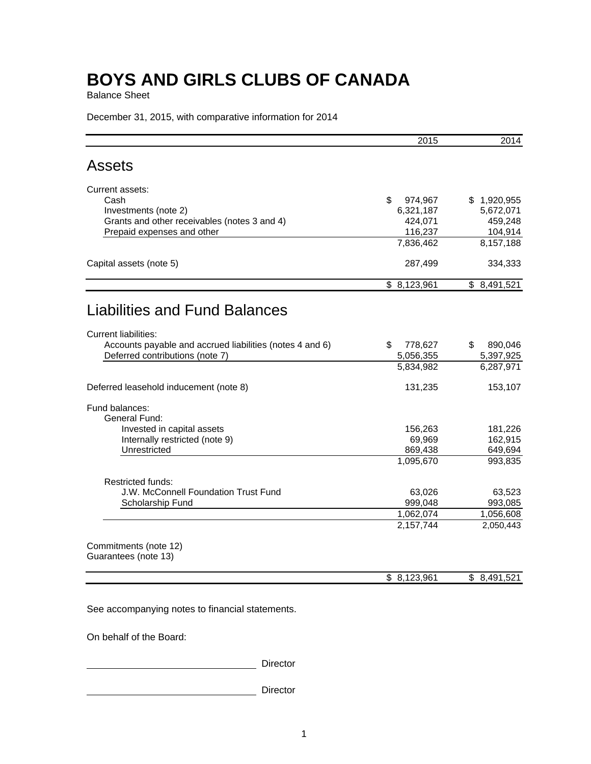Balance Sheet

December 31, 2015, with comparative information for 2014

|                                                          | 2015          | 2014          |
|----------------------------------------------------------|---------------|---------------|
| <b>Assets</b>                                            |               |               |
| Current assets:                                          |               |               |
| Cash                                                     | \$<br>974,967 | \$1,920,955   |
| Investments (note 2)                                     | 6,321,187     | 5,672,071     |
| Grants and other receivables (notes 3 and 4)             | 424,071       | 459,248       |
| Prepaid expenses and other                               | 116,237       | 104,914       |
|                                                          | 7,836,462     | 8,157,188     |
| Capital assets (note 5)                                  | 287,499       | 334,333       |
|                                                          | \$8,123,961   | \$8,491,521   |
| <b>Liabilities and Fund Balances</b>                     |               |               |
| <b>Current liabilities:</b>                              |               |               |
| Accounts payable and accrued liabilities (notes 4 and 6) | \$<br>778,627 | 890,046<br>\$ |
| Deferred contributions (note 7)                          | 5,056,355     | 5,397,925     |
|                                                          | 5,834,982     | 6,287,971     |
| Deferred leasehold inducement (note 8)                   | 131,235       | 153,107       |
| Fund balances:                                           |               |               |
| General Fund:                                            |               |               |
| Invested in capital assets                               | 156,263       | 181,226       |
| Internally restricted (note 9)                           | 69,969        | 162,915       |
| Unrestricted                                             | 869,438       | 649,694       |
|                                                          | 1,095,670     | 993,835       |
| Restricted funds:                                        |               |               |
| J.W. McConnell Foundation Trust Fund                     | 63,026        | 63,523        |
| Scholarship Fund                                         | 999,048       | 993,085       |
|                                                          | 1,062,074     | 1,056,608     |
|                                                          | 2,157,744     | 2,050,443     |
| Commitments (note 12)                                    |               |               |
| Guarantees (note 13)                                     |               |               |
|                                                          | \$8,123,961   | \$8,491,521   |

See accompanying notes to financial statements.

On behalf of the Board:

Director

Director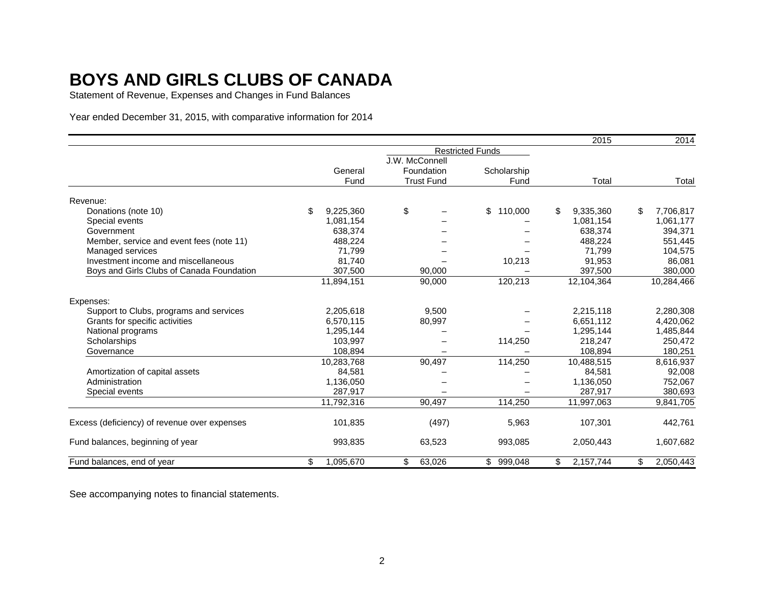Statement of Revenue, Expenses and Changes in Fund Balances

Year ended December 31, 2015, with comparative information for 2014

|                                              |                 |                   |                         | 2015             | 2014            |
|----------------------------------------------|-----------------|-------------------|-------------------------|------------------|-----------------|
|                                              |                 |                   | <b>Restricted Funds</b> |                  |                 |
|                                              |                 | J.W. McConnell    |                         |                  |                 |
|                                              | General         | Foundation        | Scholarship             |                  |                 |
|                                              | Fund            | <b>Trust Fund</b> | Fund                    | Total            | Total           |
| Revenue:                                     |                 |                   |                         |                  |                 |
| Donations (note 10)                          | \$<br>9,225,360 | \$                | \$110,000               | 9,335,360<br>\$. | 7,706,817<br>\$ |
| Special events                               | 1,081,154       |                   |                         | 1,081,154        | 1,061,177       |
| Government                                   | 638,374         |                   |                         | 638,374          | 394,371         |
| Member, service and event fees (note 11)     | 488,224         |                   |                         | 488.224          | 551,445         |
| Managed services                             | 71,799          |                   |                         | 71.799           | 104,575         |
| Investment income and miscellaneous          | 81,740          |                   | 10,213                  | 91,953           | 86,081          |
| Boys and Girls Clubs of Canada Foundation    | 307,500         | 90,000            |                         | 397,500          | 380,000         |
|                                              | 11,894,151      | 90,000            | 120,213                 | 12,104,364       | 10,284,466      |
| Expenses:                                    |                 |                   |                         |                  |                 |
| Support to Clubs, programs and services      | 2,205,618       | 9,500             |                         | 2,215,118        | 2,280,308       |
| Grants for specific activities               | 6,570,115       | 80,997            |                         | 6,651,112        | 4,420,062       |
| National programs                            | 1,295,144       |                   |                         | 1,295,144        | 1,485,844       |
| Scholarships                                 | 103,997         |                   | 114,250                 | 218,247          | 250,472         |
| Governance                                   | 108,894         |                   |                         | 108,894          | 180,251         |
|                                              | 10,283,768      | 90,497            | 114,250                 | 10,488,515       | 8,616,937       |
| Amortization of capital assets               | 84,581          |                   |                         | 84,581           | 92,008          |
| Administration                               | 1,136,050       |                   |                         | 1,136,050        | 752,067         |
| Special events                               | 287,917         |                   |                         | 287.917          | 380,693         |
|                                              | 11,792,316      | 90,497            | 114,250                 | 11,997,063       | 9,841,705       |
| Excess (deficiency) of revenue over expenses | 101,835         | (497)             | 5,963                   | 107,301          | 442,761         |
| Fund balances, beginning of year             | 993,835         | 63,523            | 993,085                 | 2,050,443        | 1,607,682       |
| Fund balances, end of year                   | \$<br>1,095,670 | \$<br>63,026      | \$999,048               | \$<br>2,157,744  | 2,050,443<br>\$ |

See accompanying notes to financial statements.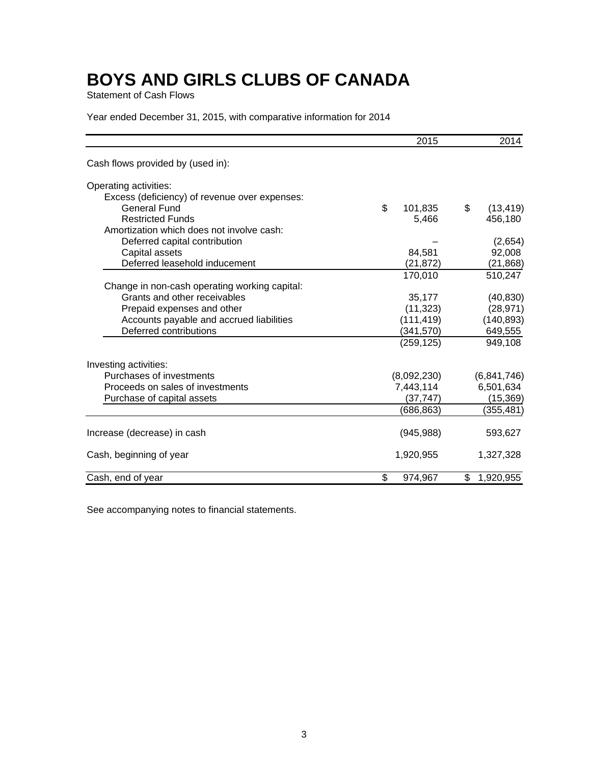Statement of Cash Flows

Year ended December 31, 2015, with comparative information for 2014

|                                               | 2015          | 2014            |
|-----------------------------------------------|---------------|-----------------|
| Cash flows provided by (used in):             |               |                 |
| Operating activities:                         |               |                 |
| Excess (deficiency) of revenue over expenses: |               |                 |
| General Fund                                  | \$<br>101,835 | \$<br>(13, 419) |
| <b>Restricted Funds</b>                       | 5,466         | 456,180         |
| Amortization which does not involve cash:     |               |                 |
| Deferred capital contribution                 |               | (2,654)         |
| Capital assets                                | 84,581        | 92,008          |
| Deferred leasehold inducement                 | (21, 872)     | (21, 868)       |
|                                               | 170,010       | 510,247         |
| Change in non-cash operating working capital: |               |                 |
| Grants and other receivables                  | 35,177        | (40, 830)       |
| Prepaid expenses and other                    | (11, 323)     | (28, 971)       |
| Accounts payable and accrued liabilities      | (111, 419)    | (140, 893)      |
| Deferred contributions                        | (341,570)     | 649,555         |
|                                               | (259, 125)    | 949,108         |
| Investing activities:                         |               |                 |
| Purchases of investments                      | (8,092,230)   | (6,841,746)     |
| Proceeds on sales of investments              | 7,443,114     | 6,501,634       |
| Purchase of capital assets                    | (37, 747)     | (15, 369)       |
|                                               | (686,863)     | (355,481)       |
| Increase (decrease) in cash                   | (945, 988)    | 593,627         |
| Cash, beginning of year                       | 1,920,955     | 1,327,328       |
| Cash, end of year                             | \$<br>974,967 | \$<br>1,920,955 |

See accompanying notes to financial statements.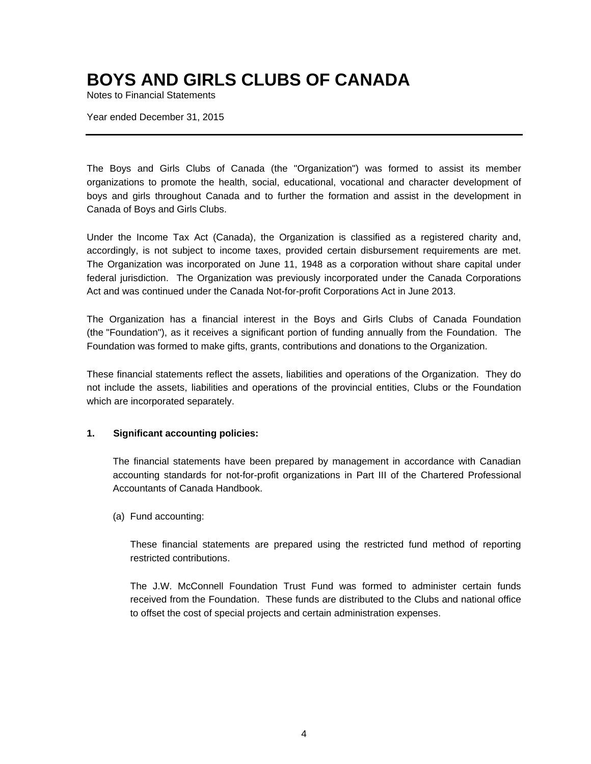Notes to Financial Statements

Year ended December 31, 2015

The Boys and Girls Clubs of Canada (the "Organization") was formed to assist its member organizations to promote the health, social, educational, vocational and character development of boys and girls throughout Canada and to further the formation and assist in the development in Canada of Boys and Girls Clubs.

Under the Income Tax Act (Canada), the Organization is classified as a registered charity and, accordingly, is not subject to income taxes, provided certain disbursement requirements are met. The Organization was incorporated on June 11, 1948 as a corporation without share capital under federal jurisdiction. The Organization was previously incorporated under the Canada Corporations Act and was continued under the Canada Not-for-profit Corporations Act in June 2013.

The Organization has a financial interest in the Boys and Girls Clubs of Canada Foundation (the "Foundation"), as it receives a significant portion of funding annually from the Foundation. The Foundation was formed to make gifts, grants, contributions and donations to the Organization.

These financial statements reflect the assets, liabilities and operations of the Organization. They do not include the assets, liabilities and operations of the provincial entities, Clubs or the Foundation which are incorporated separately.

#### **1. Significant accounting policies:**

The financial statements have been prepared by management in accordance with Canadian accounting standards for not-for-profit organizations in Part III of the Chartered Professional Accountants of Canada Handbook.

(a) Fund accounting:

These financial statements are prepared using the restricted fund method of reporting restricted contributions.

The J.W. McConnell Foundation Trust Fund was formed to administer certain funds received from the Foundation. These funds are distributed to the Clubs and national office to offset the cost of special projects and certain administration expenses.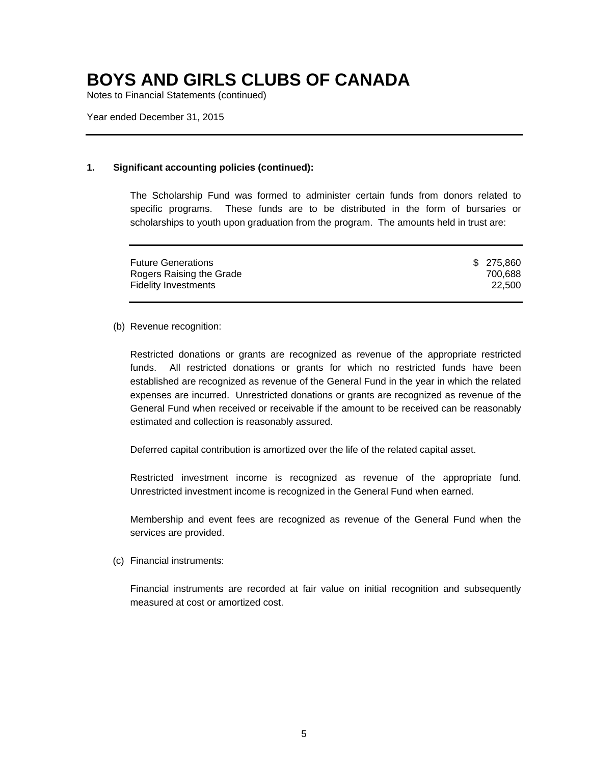Notes to Financial Statements (continued)

Year ended December 31, 2015

#### **1. Significant accounting policies (continued):**

The Scholarship Fund was formed to administer certain funds from donors related to specific programs. These funds are to be distributed in the form of bursaries or scholarships to youth upon graduation from the program. The amounts held in trust are:

| \$275.860<br><b>Future Generations</b><br>Rogers Raising the Grade<br>700.688<br>22,500<br>Fidelity Investments |
|-----------------------------------------------------------------------------------------------------------------|
|-----------------------------------------------------------------------------------------------------------------|

#### (b) Revenue recognition:

Restricted donations or grants are recognized as revenue of the appropriate restricted funds. All restricted donations or grants for which no restricted funds have been established are recognized as revenue of the General Fund in the year in which the related expenses are incurred. Unrestricted donations or grants are recognized as revenue of the General Fund when received or receivable if the amount to be received can be reasonably estimated and collection is reasonably assured.

Deferred capital contribution is amortized over the life of the related capital asset.

Restricted investment income is recognized as revenue of the appropriate fund. Unrestricted investment income is recognized in the General Fund when earned.

Membership and event fees are recognized as revenue of the General Fund when the services are provided.

(c) Financial instruments:

Financial instruments are recorded at fair value on initial recognition and subsequently measured at cost or amortized cost.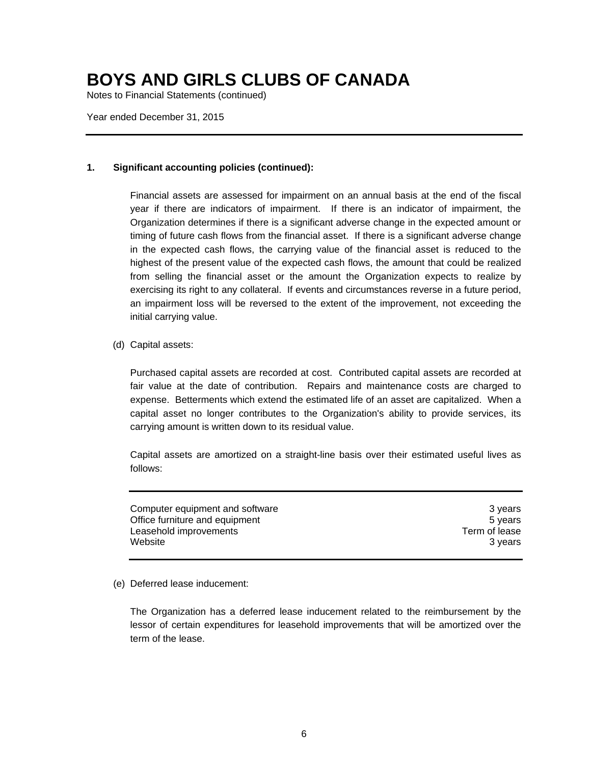Notes to Financial Statements (continued)

Year ended December 31, 2015

#### **1. Significant accounting policies (continued):**

Financial assets are assessed for impairment on an annual basis at the end of the fiscal year if there are indicators of impairment. If there is an indicator of impairment, the Organization determines if there is a significant adverse change in the expected amount or timing of future cash flows from the financial asset. If there is a significant adverse change in the expected cash flows, the carrying value of the financial asset is reduced to the highest of the present value of the expected cash flows, the amount that could be realized from selling the financial asset or the amount the Organization expects to realize by exercising its right to any collateral. If events and circumstances reverse in a future period, an impairment loss will be reversed to the extent of the improvement, not exceeding the initial carrying value.

(d) Capital assets:

Purchased capital assets are recorded at cost. Contributed capital assets are recorded at fair value at the date of contribution. Repairs and maintenance costs are charged to expense. Betterments which extend the estimated life of an asset are capitalized. When a capital asset no longer contributes to the Organization's ability to provide services, its carrying amount is written down to its residual value.

Capital assets are amortized on a straight-line basis over their estimated useful lives as follows:

Computer equipment and software 3 years 3 years Office furniture and equipment 5 years 5 years 5 years 5 years 5 years 5 years 5 years 5 years 5 years 5 years Leasehold improvements **Term of lease** Term of lease website 3 years 3 years and the set of the set of the set of the set of the set of the set of the set of the set of the set of the set of the set of the set of the set of the set of the set of the set of the set of the set

#### (e) Deferred lease inducement:

The Organization has a deferred lease inducement related to the reimbursement by the lessor of certain expenditures for leasehold improvements that will be amortized over the term of the lease.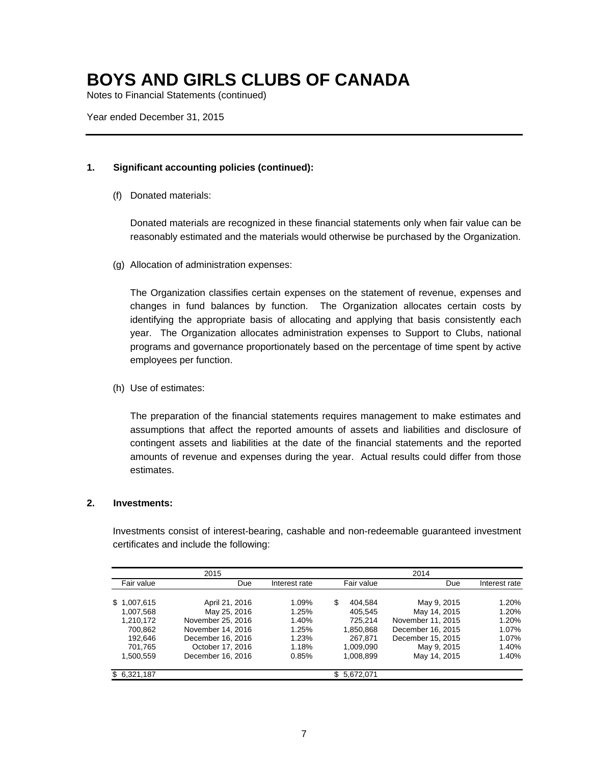Notes to Financial Statements (continued)

Year ended December 31, 2015

#### **1. Significant accounting policies (continued):**

(f) Donated materials:

Donated materials are recognized in these financial statements only when fair value can be reasonably estimated and the materials would otherwise be purchased by the Organization.

(g) Allocation of administration expenses:

The Organization classifies certain expenses on the statement of revenue, expenses and changes in fund balances by function. The Organization allocates certain costs by identifying the appropriate basis of allocating and applying that basis consistently each year. The Organization allocates administration expenses to Support to Clubs, national programs and governance proportionately based on the percentage of time spent by active employees per function.

(h) Use of estimates:

The preparation of the financial statements requires management to make estimates and assumptions that affect the reported amounts of assets and liabilities and disclosure of contingent assets and liabilities at the date of the financial statements and the reported amounts of revenue and expenses during the year. Actual results could differ from those estimates.

#### **2. Investments:**

Investments consist of interest-bearing, cashable and non-redeemable guaranteed investment certificates and include the following:

|             | 2015              |               |               | 2014              |               |
|-------------|-------------------|---------------|---------------|-------------------|---------------|
| Fair value  | Due               | Interest rate | Fair value    | Due               | Interest rate |
| \$1.007.615 | April 21, 2016    | 1.09%         | \$<br>404.584 | May 9, 2015       | 1.20%         |
| 1,007,568   | May 25, 2016      | 1.25%         | 405,545       | May 14, 2015      | 1.20%         |
| 1.210.172   | November 25, 2016 | 1.40%         | 725.214       | November 11, 2015 | 1.20%         |
| 700,862     | November 14, 2016 | 1.25%         | 1,850,868     | December 16, 2015 | 1.07%         |
| 192.646     | December 16, 2016 | 1.23%         | 267.871       | December 15, 2015 | 1.07%         |
| 701,765     | October 17, 2016  | 1.18%         | 1,009,090     | May 9, 2015       | 1.40%         |
| 1,500,559   | December 16, 2016 | 0.85%         | 1,008,899     | May 14, 2015      | 1.40%         |
| \$6,321,187 |                   |               | \$ 5,672,071  |                   |               |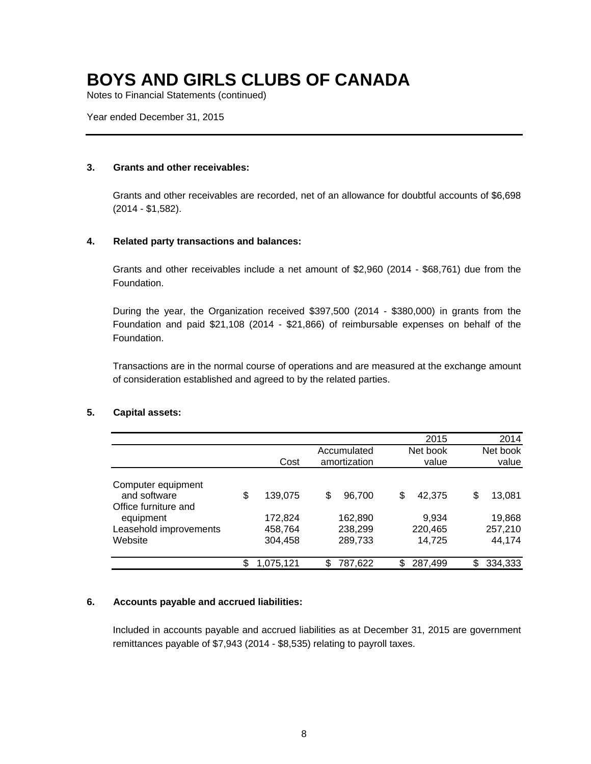Notes to Financial Statements (continued)

#### Year ended December 31, 2015

#### **3. Grants and other receivables:**

Grants and other receivables are recorded, net of an allowance for doubtful accounts of \$6,698 (2014 - \$1,582).

#### **4. Related party transactions and balances:**

Grants and other receivables include a net amount of \$2,960 (2014 - \$68,761) due from the Foundation.

During the year, the Organization received \$397,500 (2014 - \$380,000) in grants from the Foundation and paid \$21,108 (2014 - \$21,866) of reimbursable expenses on behalf of the Foundation.

Transactions are in the normal course of operations and are measured at the exchange amount of consideration established and agreed to by the related parties.

#### **5. Capital assets:**

|                                    |                 |              |         |          | 2015    |       | 2014     |
|------------------------------------|-----------------|--------------|---------|----------|---------|-------|----------|
|                                    |                 | Accumulated  |         | Net book |         |       | Net book |
|                                    | Cost            | amortization |         | value    |         | value |          |
| Computer equipment<br>and software | \$<br>139,075   | \$           | 96,700  | \$       | 42,375  | \$    | 13,081   |
| Office furniture and<br>equipment  | 172,824         |              | 162,890 |          | 9,934   |       | 19,868   |
| Leasehold improvements             | 458,764         |              | 238,299 |          | 220,465 |       | 257,210  |
| Website                            | 304,458         |              | 289,733 |          | 14,725  |       | 44.174   |
|                                    | \$<br>1,075,121 | \$           | 787,622 | \$.      | 287,499 | \$    | 334,333  |

#### **6. Accounts payable and accrued liabilities:**

Included in accounts payable and accrued liabilities as at December 31, 2015 are government remittances payable of \$7,943 (2014 - \$8,535) relating to payroll taxes.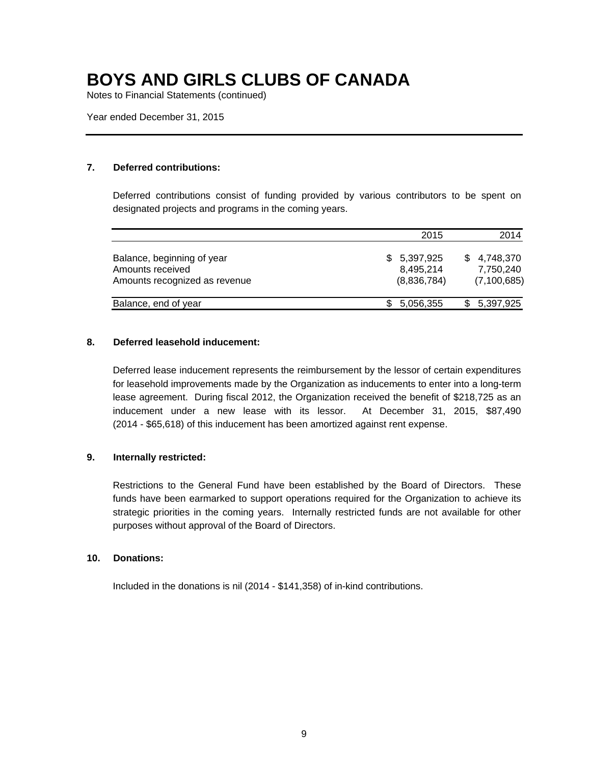Notes to Financial Statements (continued)

Year ended December 31, 2015

#### **7. Deferred contributions:**

Deferred contributions consist of funding provided by various contributors to be spent on designated projects and programs in the coming years.

|                                                                                 | 2015                                    | 2014                                           |
|---------------------------------------------------------------------------------|-----------------------------------------|------------------------------------------------|
| Balance, beginning of year<br>Amounts received<br>Amounts recognized as revenue | \$5,397,925<br>8,495,214<br>(8,836,784) | 4,748,370<br>SS.<br>7,750,240<br>(7, 100, 685) |
| Balance, end of year                                                            | 5,056,355                               | 5,397,925                                      |

#### **8. Deferred leasehold inducement:**

Deferred lease inducement represents the reimbursement by the lessor of certain expenditures for leasehold improvements made by the Organization as inducements to enter into a long-term lease agreement. During fiscal 2012, the Organization received the benefit of \$218,725 as an inducement under a new lease with its lessor. At December 31, 2015, \$87,490 (2014 - \$65,618) of this inducement has been amortized against rent expense.

#### **9. Internally restricted:**

Restrictions to the General Fund have been established by the Board of Directors. These funds have been earmarked to support operations required for the Organization to achieve its strategic priorities in the coming years. Internally restricted funds are not available for other purposes without approval of the Board of Directors.

#### **10. Donations:**

Included in the donations is nil (2014 - \$141,358) of in-kind contributions.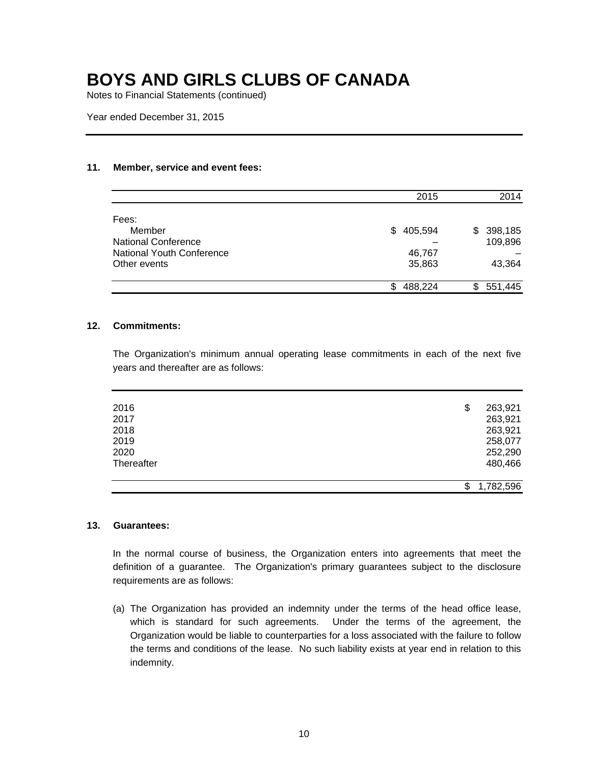Notes to Financial Statements (continued)

Year ended December 31, 2015

#### **11. Member, service and event fees:**

|                            | 2015           | 2014           |
|----------------------------|----------------|----------------|
| Fees:                      |                |                |
| Member                     | 405,594<br>\$. | 398,185<br>\$. |
| <b>National Conference</b> |                | 109,896        |
| National Youth Conference  | 46,767         |                |
| Other events               | 35,863         | 43,364         |
|                            | 488,224        | 551,445<br>\$  |

#### **12. Commitments:**

The Organization's minimum annual operating lease commitments in each of the next five years and thereafter are as follows:

| 2016       | 263,921<br>\$   |
|------------|-----------------|
| 2017       | 263,921         |
| 2018       | 263,921         |
| 2019       | 258,077         |
| 2020       | 252,290         |
| Thereafter | 480,466         |
|            | 1,782,596<br>\$ |
|            |                 |

#### **13. Guarantees:**

In the normal course of business, the Organization enters into agreements that meet the definition of a guarantee. The Organization's primary guarantees subject to the disclosure requirements are as follows:

(a) The Organization has provided an indemnity under the terms of the head office lease, which is standard for such agreements. Under the terms of the agreement, the Organization would be liable to counterparties for a loss associated with the failure to follow the terms and conditions of the lease. No such liability exists at year end in relation to this indemnity.